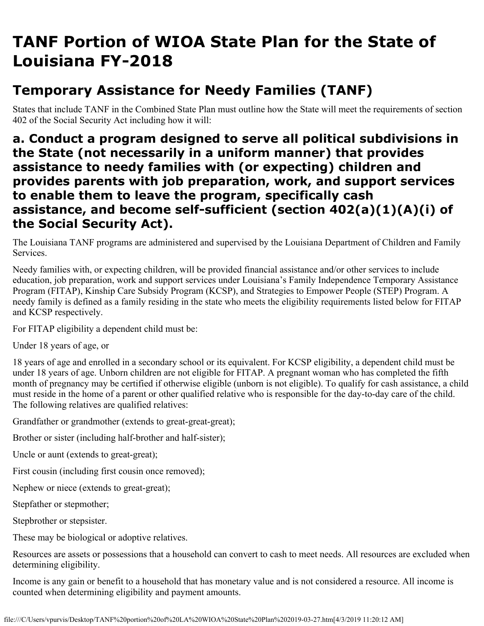# **TANF Portion of WIOA State Plan for the State of Louisiana FY-2018**

## **Temporary Assistance for Needy Families (TANF)**

States that include TANF in the Combined State Plan must outline how the State will meet the requirements of section 402 of the Social Security Act including how it will:

**a. Conduct a program designed to serve all political subdivisions in the State (not necessarily in a uniform manner) that provides assistance to needy families with (or expecting) children and provides parents with job preparation, work, and support services to enable them to leave the program, specifically cash assistance, and become self-sufficient (section 402(a)(1)(A)(i) of the Social Security Act).**

The Louisiana TANF programs are administered and supervised by the Louisiana Department of Children and Family Services.

Needy families with, or expecting children, will be provided financial assistance and/or other services to include education, job preparation, work and support services under Louisiana's Family Independence Temporary Assistance Program (FITAP), Kinship Care Subsidy Program (KCSP), and Strategies to Empower People (STEP) Program. A needy family is defined as a family residing in the state who meets the eligibility requirements listed below for FITAP and KCSP respectively.

For FITAP eligibility a dependent child must be:

Under 18 years of age, or

18 years of age and enrolled in a secondary school or its equivalent. For KCSP eligibility, a dependent child must be under 18 years of age. Unborn children are not eligible for FITAP. A pregnant woman who has completed the fifth month of pregnancy may be certified if otherwise eligible (unborn is not eligible). To qualify for cash assistance, a child must reside in the home of a parent or other qualified relative who is responsible for the day-to-day care of the child. The following relatives are qualified relatives:

Grandfather or grandmother (extends to great-great-great);

Brother or sister (including half-brother and half-sister);

Uncle or aunt (extends to great-great);

First cousin (including first cousin once removed);

Nephew or niece (extends to great-great);

Stepfather or stepmother;

Stepbrother or stepsister.

These may be biological or adoptive relatives.

Resources are assets or possessions that a household can convert to cash to meet needs. All resources are excluded when determining eligibility.

Income is any gain or benefit to a household that has monetary value and is not considered a resource. All income is counted when determining eligibility and payment amounts.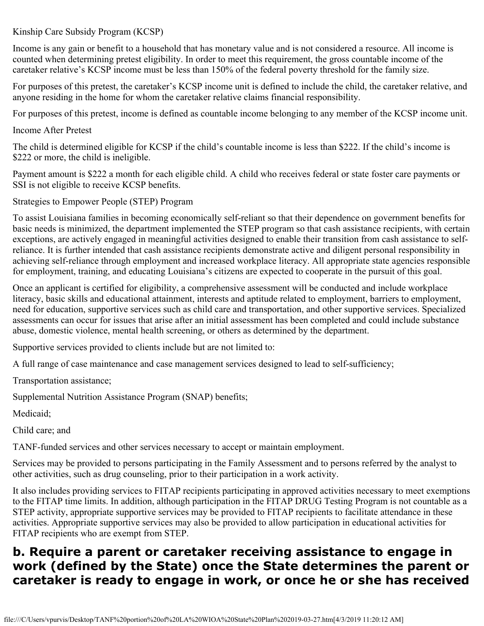#### Kinship Care Subsidy Program (KCSP)

Income is any gain or benefit to a household that has monetary value and is not considered a resource. All income is counted when determining pretest eligibility. In order to meet this requirement, the gross countable income of the caretaker relative's KCSP income must be less than 150% of the federal poverty threshold for the family size.

For purposes of this pretest, the caretaker's KCSP income unit is defined to include the child, the caretaker relative, and anyone residing in the home for whom the caretaker relative claims financial responsibility.

For purposes of this pretest, income is defined as countable income belonging to any member of the KCSP income unit.

Income After Pretest

The child is determined eligible for KCSP if the child's countable income is less than \$222. If the child's income is \$222 or more, the child is ineligible.

Payment amount is \$222 a month for each eligible child. A child who receives federal or state foster care payments or SSI is not eligible to receive KCSP benefits.

Strategies to Empower People (STEP) Program

To assist Louisiana families in becoming economically self-reliant so that their dependence on government benefits for basic needs is minimized, the department implemented the STEP program so that cash assistance recipients, with certain exceptions, are actively engaged in meaningful activities designed to enable their transition from cash assistance to selfreliance. It is further intended that cash assistance recipients demonstrate active and diligent personal responsibility in achieving self-reliance through employment and increased workplace literacy. All appropriate state agencies responsible for employment, training, and educating Louisiana's citizens are expected to cooperate in the pursuit of this goal.

Once an applicant is certified for eligibility, a comprehensive assessment will be conducted and include workplace literacy, basic skills and educational attainment, interests and aptitude related to employment, barriers to employment, need for education, supportive services such as child care and transportation, and other supportive services. Specialized assessments can occur for issues that arise after an initial assessment has been completed and could include substance abuse, domestic violence, mental health screening, or others as determined by the department.

Supportive services provided to clients include but are not limited to:

A full range of case maintenance and case management services designed to lead to self-sufficiency;

Transportation assistance;

Supplemental Nutrition Assistance Program (SNAP) benefits;

Medicaid;

Child care; and

TANF-funded services and other services necessary to accept or maintain employment.

Services may be provided to persons participating in the Family Assessment and to persons referred by the analyst to other activities, such as drug counseling, prior to their participation in a work activity.

It also includes providing services to FITAP recipients participating in approved activities necessary to meet exemptions to the FITAP time limits. In addition, although participation in the FITAP DRUG Testing Program is not countable as a STEP activity, appropriate supportive services may be provided to FITAP recipients to facilitate attendance in these activities. Appropriate supportive services may also be provided to allow participation in educational activities for FITAP recipients who are exempt from STEP.

#### **b. Require a parent or caretaker receiving assistance to engage in work (defined by the State) once the State determines the parent or caretaker is ready to engage in work, or once he or she has received**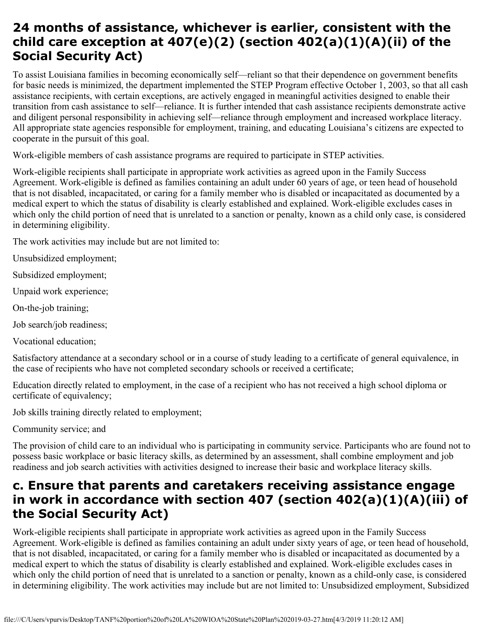### **24 months of assistance, whichever is earlier, consistent with the child care exception at 407(e)(2) (section 402(a)(1)(A)(ii) of the Social Security Act)**

To assist Louisiana families in becoming economically self—reliant so that their dependence on government benefits for basic needs is minimized, the department implemented the STEP Program effective October 1, 2003, so that all cash assistance recipients, with certain exceptions, are actively engaged in meaningful activities designed to enable their transition from cash assistance to self—reliance. It is further intended that cash assistance recipients demonstrate active and diligent personal responsibility in achieving self—reliance through employment and increased workplace literacy. All appropriate state agencies responsible for employment, training, and educating Louisiana's citizens are expected to cooperate in the pursuit of this goal.

Work-eligible members of cash assistance programs are required to participate in STEP activities.

Work-eligible recipients shall participate in appropriate work activities as agreed upon in the Family Success Agreement. Work-eligible is defined as families containing an adult under 60 years of age, or teen head of household that is not disabled, incapacitated, or caring for a family member who is disabled or incapacitated as documented by a medical expert to which the status of disability is clearly established and explained. Work-eligible excludes cases in which only the child portion of need that is unrelated to a sanction or penalty, known as a child only case, is considered in determining eligibility.

The work activities may include but are not limited to:

Unsubsidized employment;

Subsidized employment;

Unpaid work experience;

On-the-job training;

Job search/job readiness;

Vocational education;

Satisfactory attendance at a secondary school or in a course of study leading to a certificate of general equivalence, in the case of recipients who have not completed secondary schools or received a certificate;

Education directly related to employment, in the case of a recipient who has not received a high school diploma or certificate of equivalency;

Job skills training directly related to employment;

Community service; and

The provision of child care to an individual who is participating in community service. Participants who are found not to possess basic workplace or basic literacy skills, as determined by an assessment, shall combine employment and job readiness and job search activities with activities designed to increase their basic and workplace literacy skills.

#### **c. Ensure that parents and caretakers receiving assistance engage in work in accordance with section 407 (section 402(a)(1)(A)(iii) of the Social Security Act)**

Work-eligible recipients shall participate in appropriate work activities as agreed upon in the Family Success Agreement. Work-eligible is defined as families containing an adult under sixty years of age, or teen head of household, that is not disabled, incapacitated, or caring for a family member who is disabled or incapacitated as documented by a medical expert to which the status of disability is clearly established and explained. Work-eligible excludes cases in which only the child portion of need that is unrelated to a sanction or penalty, known as a child-only case, is considered in determining eligibility. The work activities may include but are not limited to: Unsubsidized employment, Subsidized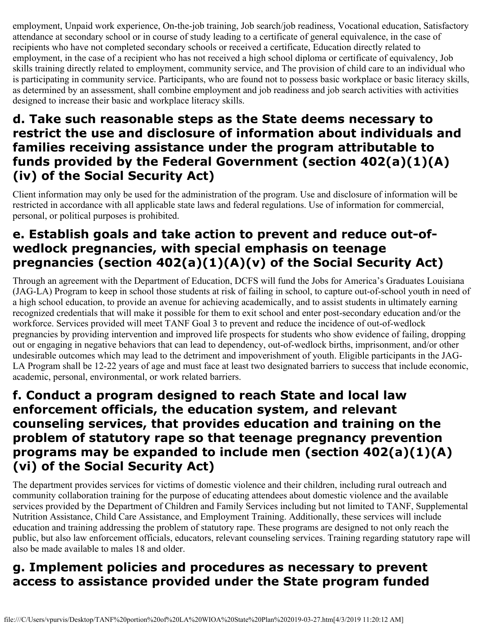employment, Unpaid work experience, On-the-job training, Job search/job readiness, Vocational education, Satisfactory attendance at secondary school or in course of study leading to a certificate of general equivalence, in the case of recipients who have not completed secondary schools or received a certificate, Education directly related to employment, in the case of a recipient who has not received a high school diploma or certificate of equivalency, Job skills training directly related to employment, community service, and The provision of child care to an individual who is participating in community service. Participants, who are found not to possess basic workplace or basic literacy skills, as determined by an assessment, shall combine employment and job readiness and job search activities with activities designed to increase their basic and workplace literacy skills.

### **d. Take such reasonable steps as the State deems necessary to restrict the use and disclosure of information about individuals and families receiving assistance under the program attributable to funds provided by the Federal Government (section 402(a)(1)(A) (iv) of the Social Security Act)**

Client information may only be used for the administration of the program. Use and disclosure of information will be restricted in accordance with all applicable state laws and federal regulations. Use of information for commercial, personal, or political purposes is prohibited.

## **e. Establish goals and take action to prevent and reduce out-ofwedlock pregnancies, with special emphasis on teenage pregnancies (section 402(a)(1)(A)(v) of the Social Security Act)**

Through an agreement with the Department of Education, DCFS will fund the Jobs for America's Graduates Louisiana (JAG-LA) Program to keep in school those students at risk of failing in school, to capture out-of-school youth in need of a high school education, to provide an avenue for achieving academically, and to assist students in ultimately earning recognized credentials that will make it possible for them to exit school and enter post-secondary education and/or the workforce. Services provided will meet TANF Goal 3 to prevent and reduce the incidence of out-of-wedlock pregnancies by providing intervention and improved life prospects for students who show evidence of failing, dropping out or engaging in negative behaviors that can lead to dependency, out-of-wedlock births, imprisonment, and/or other undesirable outcomes which may lead to the detriment and impoverishment of youth. Eligible participants in the JAG-LA Program shall be 12-22 years of age and must face at least two designated barriers to success that include economic, academic, personal, environmental, or work related barriers.

#### **f. Conduct a program designed to reach State and local law enforcement officials, the education system, and relevant counseling services, that provides education and training on the problem of statutory rape so that teenage pregnancy prevention programs may be expanded to include men (section 402(a)(1)(A) (vi) of the Social Security Act)**

The department provides services for victims of domestic violence and their children, including rural outreach and community collaboration training for the purpose of educating attendees about domestic violence and the available services provided by the Department of Children and Family Services including but not limited to TANF, Supplemental Nutrition Assistance, Child Care Assistance, and Employment Training. Additionally, these services will include education and training addressing the problem of statutory rape. These programs are designed to not only reach the public, but also law enforcement officials, educators, relevant counseling services. Training regarding statutory rape will also be made available to males 18 and older.

## **g. Implement policies and procedures as necessary to prevent access to assistance provided under the State program funded**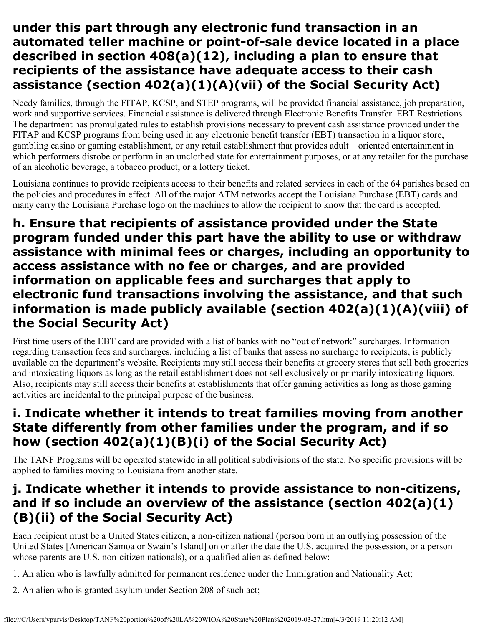### **under this part through any electronic fund transaction in an automated teller machine or point-of-sale device located in a place described in section 408(a)(12), including a plan to ensure that recipients of the assistance have adequate access to their cash assistance (section 402(a)(1)(A)(vii) of the Social Security Act)**

Needy families, through the FITAP, KCSP, and STEP programs, will be provided financial assistance, job preparation, work and supportive services. Financial assistance is delivered through Electronic Benefits Transfer. EBT Restrictions The department has promulgated rules to establish provisions necessary to prevent cash assistance provided under the FITAP and KCSP programs from being used in any electronic benefit transfer (EBT) transaction in a liquor store, gambling casino or gaming establishment, or any retail establishment that provides adult—oriented entertainment in which performers disrobe or perform in an unclothed state for entertainment purposes, or at any retailer for the purchase of an alcoholic beverage, a tobacco product, or a lottery ticket.

Louisiana continues to provide recipients access to their benefits and related services in each of the 64 parishes based on the policies and procedures in effect. All of the major ATM networks accept the Louisiana Purchase (EBT) cards and many carry the Louisiana Purchase logo on the machines to allow the recipient to know that the card is accepted.

#### **h. Ensure that recipients of assistance provided under the State program funded under this part have the ability to use or withdraw assistance with minimal fees or charges, including an opportunity to access assistance with no fee or charges, and are provided information on applicable fees and surcharges that apply to electronic fund transactions involving the assistance, and that such information is made publicly available (section 402(a)(1)(A)(viii) of the Social Security Act)**

First time users of the EBT card are provided with a list of banks with no "out of network" surcharges. Information regarding transaction fees and surcharges, including a list of banks that assess no surcharge to recipients, is publicly available on the department's website. Recipients may still access their benefits at grocery stores that sell both groceries and intoxicating liquors as long as the retail establishment does not sell exclusively or primarily intoxicating liquors. Also, recipients may still access their benefits at establishments that offer gaming activities as long as those gaming activities are incidental to the principal purpose of the business.

### **i. Indicate whether it intends to treat families moving from another State differently from other families under the program, and if so how (section 402(a)(1)(B)(i) of the Social Security Act)**

The TANF Programs will be operated statewide in all political subdivisions of the state. No specific provisions will be applied to families moving to Louisiana from another state.

### **j. Indicate whether it intends to provide assistance to non-citizens, and if so include an overview of the assistance (section 402(a)(1) (B)(ii) of the Social Security Act)**

Each recipient must be a United States citizen, a non-citizen national (person born in an outlying possession of the United States [American Samoa or Swain's Island] on or after the date the U.S. acquired the possession, or a person whose parents are U.S. non-citizen nationals), or a qualified alien as defined below:

- 1. An alien who is lawfully admitted for permanent residence under the Immigration and Nationality Act;
- 2. An alien who is granted asylum under Section 208 of such act;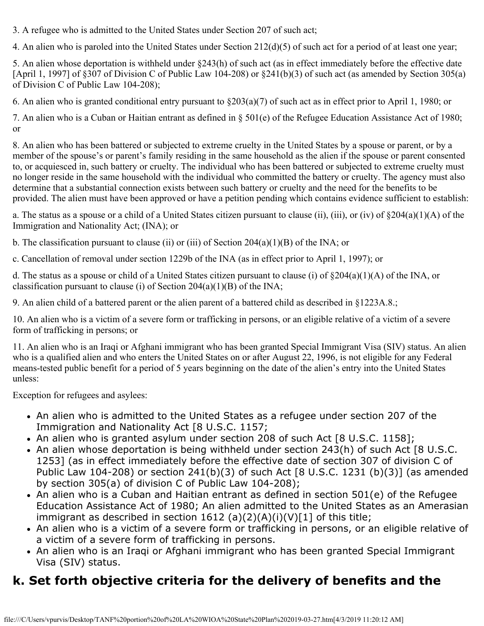3. A refugee who is admitted to the United States under Section 207 of such act;

4. An alien who is paroled into the United States under Section 212(d)(5) of such act for a period of at least one year;

5. An alien whose deportation is withheld under §243(h) of such act (as in effect immediately before the effective date [April 1, 1997] of §307 of Division C of Public Law 104-208) or §241(b)(3) of such act (as amended by Section 305(a) of Division C of Public Law 104-208);

6. An alien who is granted conditional entry pursuant to §203(a)(7) of such act as in effect prior to April 1, 1980; or

7. An alien who is a Cuban or Haitian entrant as defined in § 501(e) of the Refugee Education Assistance Act of 1980; or

8. An alien who has been battered or subjected to extreme cruelty in the United States by a spouse or parent, or by a member of the spouse's or parent's family residing in the same household as the alien if the spouse or parent consented to, or acquiesced in, such battery or cruelty. The individual who has been battered or subjected to extreme cruelty must no longer reside in the same household with the individual who committed the battery or cruelty. The agency must also determine that a substantial connection exists between such battery or cruelty and the need for the benefits to be provided. The alien must have been approved or have a petition pending which contains evidence sufficient to establish:

a. The status as a spouse or a child of a United States citizen pursuant to clause (ii), (iii), or (iv) of §204(a)(1)(A) of the Immigration and Nationality Act; (INA); or

b. The classification pursuant to clause (ii) or (iii) of Section  $204(a)(1)(B)$  of the INA; or

c. Cancellation of removal under section 1229b of the INA (as in effect prior to April 1, 1997); or

d. The status as a spouse or child of a United States citizen pursuant to clause (i) of §204(a)(1)(A) of the INA, or classification pursuant to clause (i) of Section  $204(a)(1)(B)$  of the INA;

9. An alien child of a battered parent or the alien parent of a battered child as described in §1223A.8.;

10. An alien who is a victim of a severe form or trafficking in persons, or an eligible relative of a victim of a severe form of trafficking in persons; or

11. An alien who is an Iraqi or Afghani immigrant who has been granted Special Immigrant Visa (SIV) status. An alien who is a qualified alien and who enters the United States on or after August 22, 1996, is not eligible for any Federal means-tested public benefit for a period of 5 years beginning on the date of the alien's entry into the United States unless:

Exception for refugees and asylees:

- An alien who is admitted to the United States as a refugee under section 207 of the Immigration and Nationality Act [8 U.S.C. 1157;
- An alien who is granted asylum under section 208 of such Act [8 U.S.C. 1158];
- An alien whose deportation is being withheld under section 243(h) of such Act [8 U.S.C. 1253] (as in effect immediately before the effective date of section 307 of division C of Public Law 104-208) or section 241(b)(3) of such Act [8 U.S.C. 1231 (b)(3)] (as amended by section 305(a) of division C of Public Law 104-208);
- An alien who is a Cuban and Haitian entrant as defined in section 501(e) of the Refugee Education Assistance Act of 1980; An alien admitted to the United States as an Amerasian immigrant as described in section 1612 (a)(2)(A)(i)(V)[1] of this title;
- An alien who is a victim of a severe form or trafficking in persons, or an eligible relative of a victim of a severe form of trafficking in persons.
- An alien who is an Iraqi or Afghani immigrant who has been granted Special Immigrant Visa (SIV) status.

# **k. Set forth objective criteria for the delivery of benefits and the**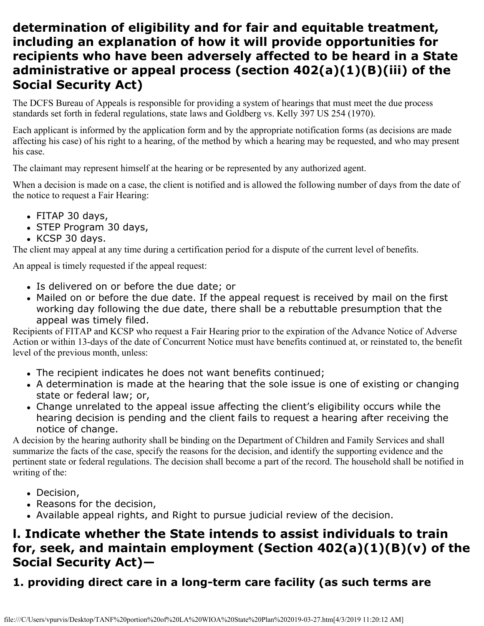#### **determination of eligibility and for fair and equitable treatment, including an explanation of how it will provide opportunities for recipients who have been adversely affected to be heard in a State administrative or appeal process (section 402(a)(1)(B)(iii) of the Social Security Act)**

The DCFS Bureau of Appeals is responsible for providing a system of hearings that must meet the due process standards set forth in federal regulations, state laws and Goldberg vs. Kelly 397 US 254 (1970).

Each applicant is informed by the application form and by the appropriate notification forms (as decisions are made affecting his case) of his right to a hearing, of the method by which a hearing may be requested, and who may present his case.

The claimant may represent himself at the hearing or be represented by any authorized agent.

When a decision is made on a case, the client is notified and is allowed the following number of days from the date of the notice to request a Fair Hearing:

- FITAP 30 days,
- STEP Program 30 days,
- KCSP 30 days.

The client may appeal at any time during a certification period for a dispute of the current level of benefits.

An appeal is timely requested if the appeal request:

- Is delivered on or before the due date; or
- Mailed on or before the due date. If the appeal request is received by mail on the first working day following the due date, there shall be a rebuttable presumption that the appeal was timely filed.

Recipients of FITAP and KCSP who request a Fair Hearing prior to the expiration of the Advance Notice of Adverse Action or within 13-days of the date of Concurrent Notice must have benefits continued at, or reinstated to, the benefit level of the previous month, unless:

- The recipient indicates he does not want benefits continued;
- A determination is made at the hearing that the sole issue is one of existing or changing state or federal law; or,
- Change unrelated to the appeal issue affecting the client's eligibility occurs while the hearing decision is pending and the client fails to request a hearing after receiving the notice of change.

A decision by the hearing authority shall be binding on the Department of Children and Family Services and shall summarize the facts of the case, specify the reasons for the decision, and identify the supporting evidence and the pertinent state or federal regulations. The decision shall become a part of the record. The household shall be notified in writing of the:

- Decision,
- Reasons for the decision,
- Available appeal rights, and Right to pursue judicial review of the decision.

### **l. Indicate whether the State intends to assist individuals to train for, seek, and maintain employment (Section 402(a)(1)(B)(v) of the Social Security Act)—**

#### **1. providing direct care in a long-term care facility (as such terms are**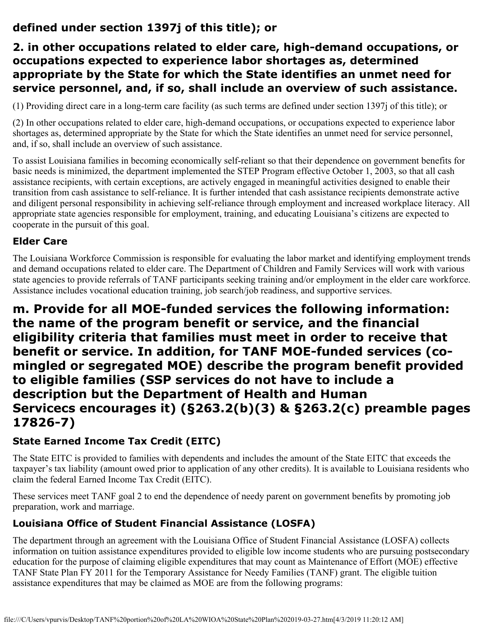#### **defined under section 1397j of this title); or**

#### **2. in other occupations related to elder care, high-demand occupations, or occupations expected to experience labor shortages as, determined appropriate by the State for which the State identifies an unmet need for service personnel, and, if so, shall include an overview of such assistance.**

(1) Providing direct care in a long-term care facility (as such terms are defined under section 1397j of this title); or

(2) In other occupations related to elder care, high-demand occupations, or occupations expected to experience labor shortages as, determined appropriate by the State for which the State identifies an unmet need for service personnel, and, if so, shall include an overview of such assistance.

To assist Louisiana families in becoming economically self-reliant so that their dependence on government benefits for basic needs is minimized, the department implemented the STEP Program effective October 1, 2003, so that all cash assistance recipients, with certain exceptions, are actively engaged in meaningful activities designed to enable their transition from cash assistance to self-reliance. It is further intended that cash assistance recipients demonstrate active and diligent personal responsibility in achieving self-reliance through employment and increased workplace literacy. All appropriate state agencies responsible for employment, training, and educating Louisiana's citizens are expected to cooperate in the pursuit of this goal.

#### **Elder Care**

The Louisiana Workforce Commission is responsible for evaluating the labor market and identifying employment trends and demand occupations related to elder care. The Department of Children and Family Services will work with various state agencies to provide referrals of TANF participants seeking training and/or employment in the elder care workforce. Assistance includes vocational education training, job search/job readiness, and supportive services.

#### **m. Provide for all MOE-funded services the following information: the name of the program benefit or service, and the financial eligibility criteria that families must meet in order to receive that benefit or service. In addition, for TANF MOE-funded services (comingled or segregated MOE) describe the program benefit provided to eligible families (SSP services do not have to include a description but the Department of Health and Human Servicecs encourages it) (§263.2(b)(3) & §263.2(c) preamble pages 17826-7)**

#### **State Earned Income Tax Credit (EITC)**

The State EITC is provided to families with dependents and includes the amount of the State EITC that exceeds the taxpayer's tax liability (amount owed prior to application of any other credits). It is available to Louisiana residents who claim the federal Earned Income Tax Credit (EITC).

These services meet TANF goal 2 to end the dependence of needy parent on government benefits by promoting job preparation, work and marriage.

#### **Louisiana Office of Student Financial Assistance (LOSFA)**

The department through an agreement with the Louisiana Office of Student Financial Assistance (LOSFA) collects information on tuition assistance expenditures provided to eligible low income students who are pursuing postsecondary education for the purpose of claiming eligible expenditures that may count as Maintenance of Effort (MOE) effective TANF State Plan FY 2011 for the Temporary Assistance for Needy Families (TANF) grant. The eligible tuition assistance expenditures that may be claimed as MOE are from the following programs: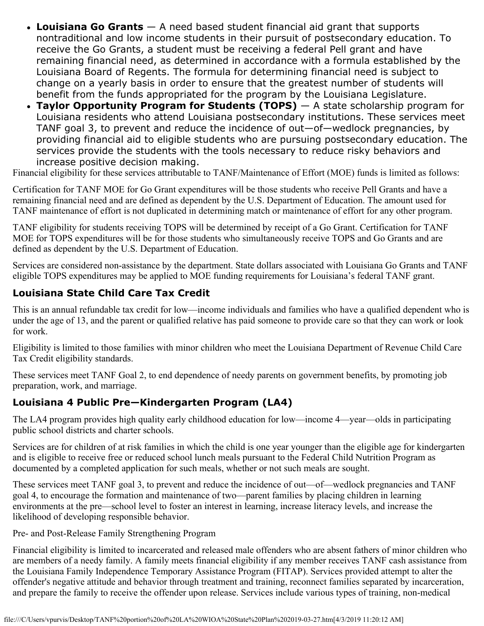- **Louisiana Go Grants** A need based student financial aid grant that supports nontraditional and low income students in their pursuit of postsecondary education. To receive the Go Grants, a student must be receiving a federal Pell grant and have remaining financial need, as determined in accordance with a formula established by the Louisiana Board of Regents. The formula for determining financial need is subject to change on a yearly basis in order to ensure that the greatest number of students will benefit from the funds appropriated for the program by the Louisiana Legislature.
- **Taylor Opportunity Program for Students (TOPS)** A state scholarship program for Louisiana residents who attend Louisiana postsecondary institutions. These services meet TANF goal 3, to prevent and reduce the incidence of out—of—wedlock pregnancies, by providing financial aid to eligible students who are pursuing postsecondary education. The services provide the students with the tools necessary to reduce risky behaviors and increase positive decision making.

Financial eligibility for these services attributable to TANF/Maintenance of Effort (MOE) funds is limited as follows:

Certification for TANF MOE for Go Grant expenditures will be those students who receive Pell Grants and have a remaining financial need and are defined as dependent by the U.S. Department of Education. The amount used for TANF maintenance of effort is not duplicated in determining match or maintenance of effort for any other program.

TANF eligibility for students receiving TOPS will be determined by receipt of a Go Grant. Certification for TANF MOE for TOPS expenditures will be for those students who simultaneously receive TOPS and Go Grants and are defined as dependent by the U.S. Department of Education.

Services are considered non-assistance by the department. State dollars associated with Louisiana Go Grants and TANF eligible TOPS expenditures may be applied to MOE funding requirements for Louisiana's federal TANF grant.

#### **Louisiana State Child Care Tax Credit**

This is an annual refundable tax credit for low—income individuals and families who have a qualified dependent who is under the age of 13, and the parent or qualified relative has paid someone to provide care so that they can work or look for work.

Eligibility is limited to those families with minor children who meet the Louisiana Department of Revenue Child Care Tax Credit eligibility standards.

These services meet TANF Goal 2, to end dependence of needy parents on government benefits, by promoting job preparation, work, and marriage.

#### **Louisiana 4 Public Pre—Kindergarten Program (LA4)**

The LA4 program provides high quality early childhood education for low—income 4—year—olds in participating public school districts and charter schools.

Services are for children of at risk families in which the child is one year younger than the eligible age for kindergarten and is eligible to receive free or reduced school lunch meals pursuant to the Federal Child Nutrition Program as documented by a completed application for such meals, whether or not such meals are sought.

These services meet TANF goal 3, to prevent and reduce the incidence of out—of—wedlock pregnancies and TANF goal 4, to encourage the formation and maintenance of two—parent families by placing children in learning environments at the pre—school level to foster an interest in learning, increase literacy levels, and increase the likelihood of developing responsible behavior.

#### Pre- and Post-Release Family Strengthening Program

Financial eligibility is limited to incarcerated and released male offenders who are absent fathers of minor children who are members of a needy family. A family meets financial eligibility if any member receives TANF cash assistance from the Louisiana Family Independence Temporary Assistance Program (FITAP). Services provided attempt to alter the offender's negative attitude and behavior through treatment and training, reconnect families separated by incarceration, and prepare the family to receive the offender upon release. Services include various types of training, non-medical